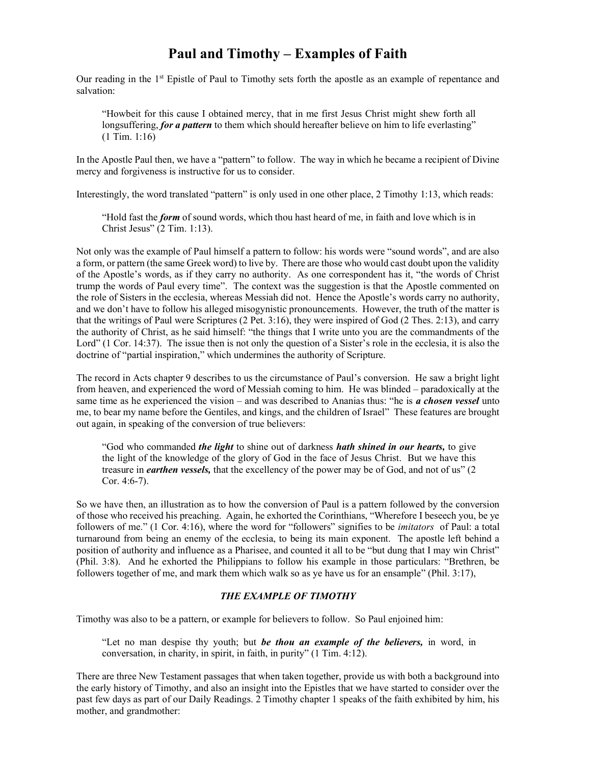## Paul and Timothy – Examples of Faith

Our reading in the 1<sup>st</sup> Epistle of Paul to Timothy sets forth the apostle as an example of repentance and salvation:

"Howbeit for this cause I obtained mercy, that in me first Jesus Christ might shew forth all longsuffering, for a pattern to them which should hereafter believe on him to life everlasting" (1 Tim. 1:16)

In the Apostle Paul then, we have a "pattern" to follow. The way in which he became a recipient of Divine mercy and forgiveness is instructive for us to consider.

Interestingly, the word translated "pattern" is only used in one other place, 2 Timothy 1:13, which reads:

"Hold fast the *form* of sound words, which thou hast heard of me, in faith and love which is in Christ Jesus" (2 Tim. 1:13).

Not only was the example of Paul himself a pattern to follow: his words were "sound words", and are also a form, or pattern (the same Greek word) to live by. There are those who would cast doubt upon the validity of the Apostle's words, as if they carry no authority. As one correspondent has it, "the words of Christ trump the words of Paul every time". The context was the suggestion is that the Apostle commented on the role of Sisters in the ecclesia, whereas Messiah did not. Hence the Apostle's words carry no authority, and we don't have to follow his alleged misogynistic pronouncements. However, the truth of the matter is that the writings of Paul were Scriptures (2 Pet. 3:16), they were inspired of God (2 Thes. 2:13), and carry the authority of Christ, as he said himself: "the things that I write unto you are the commandments of the Lord" (1 Cor. 14:37). The issue then is not only the question of a Sister's role in the ecclesia, it is also the doctrine of "partial inspiration," which undermines the authority of Scripture.

The record in Acts chapter 9 describes to us the circumstance of Paul's conversion. He saw a bright light from heaven, and experienced the word of Messiah coming to him. He was blinded – paradoxically at the same time as he experienced the vision – and was described to Ananias thus: "he is a chosen vessel unto me, to bear my name before the Gentiles, and kings, and the children of Israel" These features are brought out again, in speaking of the conversion of true believers:

"God who commanded *the light* to shine out of darkness *hath shined in our hearts*, to give the light of the knowledge of the glory of God in the face of Jesus Christ. But we have this treasure in *earthen vessels*, that the excellency of the power may be of God, and not of us" (2) Cor. 4:6-7).

So we have then, an illustration as to how the conversion of Paul is a pattern followed by the conversion of those who received his preaching. Again, he exhorted the Corinthians, "Wherefore I beseech you, be ye followers of me." (1 Cor. 4:16), where the word for "followers" signifies to be *imitators* of Paul: a total turnaround from being an enemy of the ecclesia, to being its main exponent. The apostle left behind a position of authority and influence as a Pharisee, and counted it all to be "but dung that I may win Christ" (Phil. 3:8). And he exhorted the Philippians to follow his example in those particulars: "Brethren, be followers together of me, and mark them which walk so as ye have us for an ensample" (Phil. 3:17),

## THE EXAMPLE OF TIMOTHY

Timothy was also to be a pattern, or example for believers to follow. So Paul enjoined him:

"Let no man despise thy youth; but *be thou an example of the believers*, in word, in conversation, in charity, in spirit, in faith, in purity" (1 Tim. 4:12).

There are three New Testament passages that when taken together, provide us with both a background into the early history of Timothy, and also an insight into the Epistles that we have started to consider over the past few days as part of our Daily Readings. 2 Timothy chapter 1 speaks of the faith exhibited by him, his mother, and grandmother: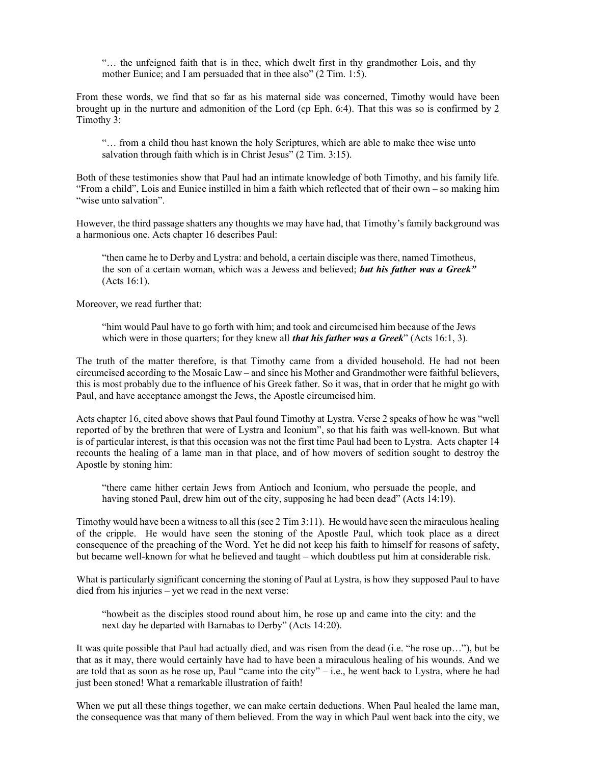"… the unfeigned faith that is in thee, which dwelt first in thy grandmother Lois, and thy mother Eunice; and I am persuaded that in thee also" (2 Tim. 1:5).

From these words, we find that so far as his maternal side was concerned, Timothy would have been brought up in the nurture and admonition of the Lord (cp Eph. 6:4). That this was so is confirmed by 2 Timothy 3:

"… from a child thou hast known the holy Scriptures, which are able to make thee wise unto salvation through faith which is in Christ Jesus" (2 Tim. 3:15).

Both of these testimonies show that Paul had an intimate knowledge of both Timothy, and his family life. "From a child", Lois and Eunice instilled in him a faith which reflected that of their own – so making him "wise unto salvation".

However, the third passage shatters any thoughts we may have had, that Timothy's family background was a harmonious one. Acts chapter 16 describes Paul:

"then came he to Derby and Lystra: and behold, a certain disciple was there, named Timotheus, the son of a certain woman, which was a Jewess and believed; but his father was a Greek" (Acts 16:1).

Moreover, we read further that:

"him would Paul have to go forth with him; and took and circumcised him because of the Jews which were in those quarters; for they knew all *that his father was a Greek*" (Acts 16:1, 3).

The truth of the matter therefore, is that Timothy came from a divided household. He had not been circumcised according to the Mosaic Law – and since his Mother and Grandmother were faithful believers, this is most probably due to the influence of his Greek father. So it was, that in order that he might go with Paul, and have acceptance amongst the Jews, the Apostle circumcised him.

Acts chapter 16, cited above shows that Paul found Timothy at Lystra. Verse 2 speaks of how he was "well reported of by the brethren that were of Lystra and Iconium", so that his faith was well-known. But what is of particular interest, is that this occasion was not the first time Paul had been to Lystra. Acts chapter 14 recounts the healing of a lame man in that place, and of how movers of sedition sought to destroy the Apostle by stoning him:

"there came hither certain Jews from Antioch and Iconium, who persuade the people, and having stoned Paul, drew him out of the city, supposing he had been dead" (Acts 14:19).

Timothy would have been a witness to all this (see 2 Tim 3:11). He would have seen the miraculous healing of the cripple. He would have seen the stoning of the Apostle Paul, which took place as a direct consequence of the preaching of the Word. Yet he did not keep his faith to himself for reasons of safety, but became well-known for what he believed and taught – which doubtless put him at considerable risk.

What is particularly significant concerning the stoning of Paul at Lystra, is how they supposed Paul to have died from his injuries – yet we read in the next verse:

"howbeit as the disciples stood round about him, he rose up and came into the city: and the next day he departed with Barnabas to Derby" (Acts 14:20).

It was quite possible that Paul had actually died, and was risen from the dead (i.e. "he rose up…"), but be that as it may, there would certainly have had to have been a miraculous healing of his wounds. And we are told that as soon as he rose up, Paul "came into the city"  $-$  i.e., he went back to Lystra, where he had just been stoned! What a remarkable illustration of faith!

When we put all these things together, we can make certain deductions. When Paul healed the lame man, the consequence was that many of them believed. From the way in which Paul went back into the city, we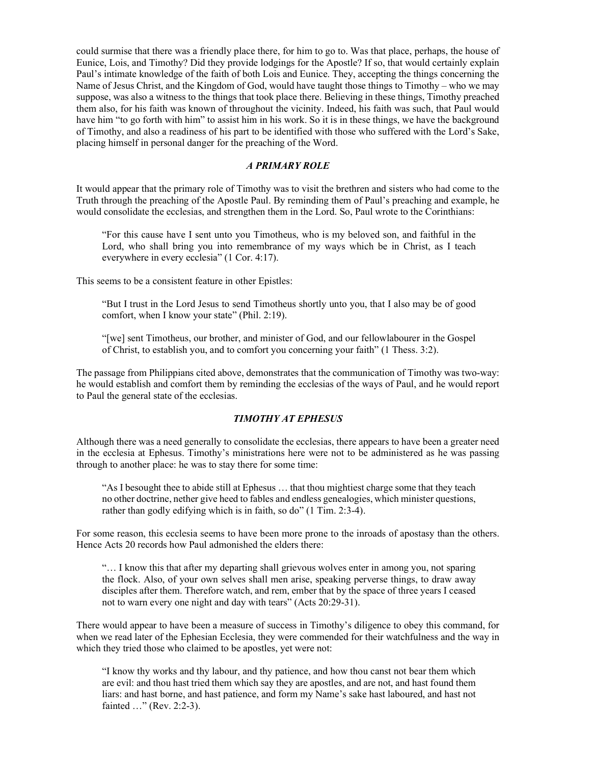could surmise that there was a friendly place there, for him to go to. Was that place, perhaps, the house of Eunice, Lois, and Timothy? Did they provide lodgings for the Apostle? If so, that would certainly explain Paul's intimate knowledge of the faith of both Lois and Eunice. They, accepting the things concerning the Name of Jesus Christ, and the Kingdom of God, would have taught those things to Timothy – who we may suppose, was also a witness to the things that took place there. Believing in these things, Timothy preached them also, for his faith was known of throughout the vicinity. Indeed, his faith was such, that Paul would have him "to go forth with him" to assist him in his work. So it is in these things, we have the background of Timothy, and also a readiness of his part to be identified with those who suffered with the Lord's Sake, placing himself in personal danger for the preaching of the Word.

## A PRIMARY ROLE

It would appear that the primary role of Timothy was to visit the brethren and sisters who had come to the Truth through the preaching of the Apostle Paul. By reminding them of Paul's preaching and example, he would consolidate the ecclesias, and strengthen them in the Lord. So, Paul wrote to the Corinthians:

"For this cause have I sent unto you Timotheus, who is my beloved son, and faithful in the Lord, who shall bring you into remembrance of my ways which be in Christ, as I teach everywhere in every ecclesia" (1 Cor. 4:17).

This seems to be a consistent feature in other Epistles:

"But I trust in the Lord Jesus to send Timotheus shortly unto you, that I also may be of good comfort, when I know your state" (Phil. 2:19).

"[we] sent Timotheus, our brother, and minister of God, and our fellowlabourer in the Gospel of Christ, to establish you, and to comfort you concerning your faith" (1 Thess. 3:2).

The passage from Philippians cited above, demonstrates that the communication of Timothy was two-way: he would establish and comfort them by reminding the ecclesias of the ways of Paul, and he would report to Paul the general state of the ecclesias.

## TIMOTHY AT EPHESUS

Although there was a need generally to consolidate the ecclesias, there appears to have been a greater need in the ecclesia at Ephesus. Timothy's ministrations here were not to be administered as he was passing through to another place: he was to stay there for some time:

"As I besought thee to abide still at Ephesus … that thou mightiest charge some that they teach no other doctrine, nether give heed to fables and endless genealogies, which minister questions, rather than godly edifying which is in faith, so do" (1 Tim. 2:3-4).

For some reason, this ecclesia seems to have been more prone to the inroads of apostasy than the others. Hence Acts 20 records how Paul admonished the elders there:

"… I know this that after my departing shall grievous wolves enter in among you, not sparing the flock. Also, of your own selves shall men arise, speaking perverse things, to draw away disciples after them. Therefore watch, and rem, ember that by the space of three years I ceased not to warn every one night and day with tears" (Acts 20:29-31).

There would appear to have been a measure of success in Timothy's diligence to obey this command, for when we read later of the Ephesian Ecclesia, they were commended for their watchfulness and the way in which they tried those who claimed to be apostles, yet were not:

"I know thy works and thy labour, and thy patience, and how thou canst not bear them which are evil: and thou hast tried them which say they are apostles, and are not, and hast found them liars: and hast borne, and hast patience, and form my Name's sake hast laboured, and hast not fainted …" (Rev. 2:2-3).